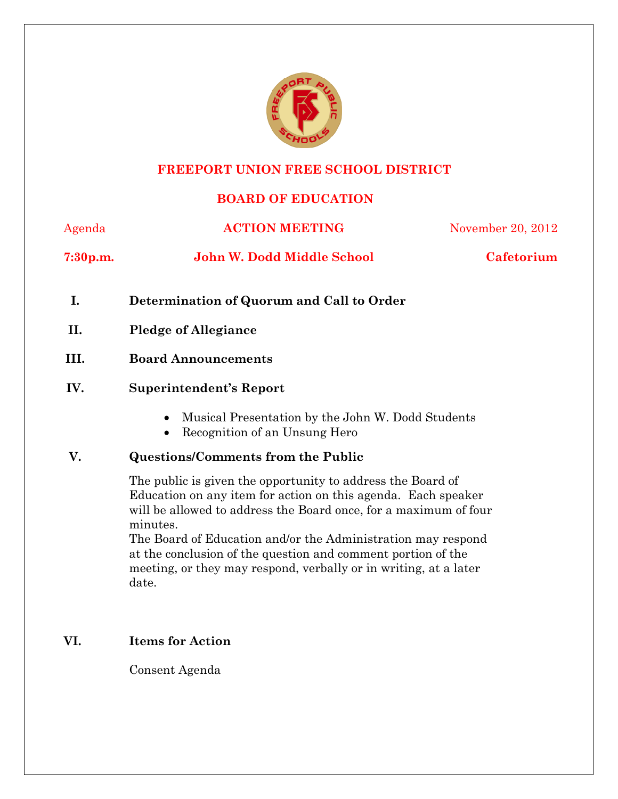

## **FREEPORT UNION FREE SCHOOL DISTRICT**

# **BOARD OF EDUCATION**

| Agenda      | <b>ACTION MEETING</b>                     | November 20, 2012 |
|-------------|-------------------------------------------|-------------------|
| $7:30$ p.m. | John W. Dodd Middle School                | Cafetorium        |
|             | Determination of Quorum and Call to Order |                   |

- **II. Pledge of Allegiance**
- **III. Board Announcements**

# **IV. Superintendent's Report**

- Musical Presentation by the John W. Dodd Students
- Recognition of an Unsung Hero

### **V. Questions/Comments from the Public**

The public is given the opportunity to address the Board of Education on any item for action on this agenda. Each speaker will be allowed to address the Board once, for a maximum of four minutes.

The Board of Education and/or the Administration may respond at the conclusion of the question and comment portion of the meeting, or they may respond, verbally or in writing, at a later date.

# **VI. Items for Action**

Consent Agenda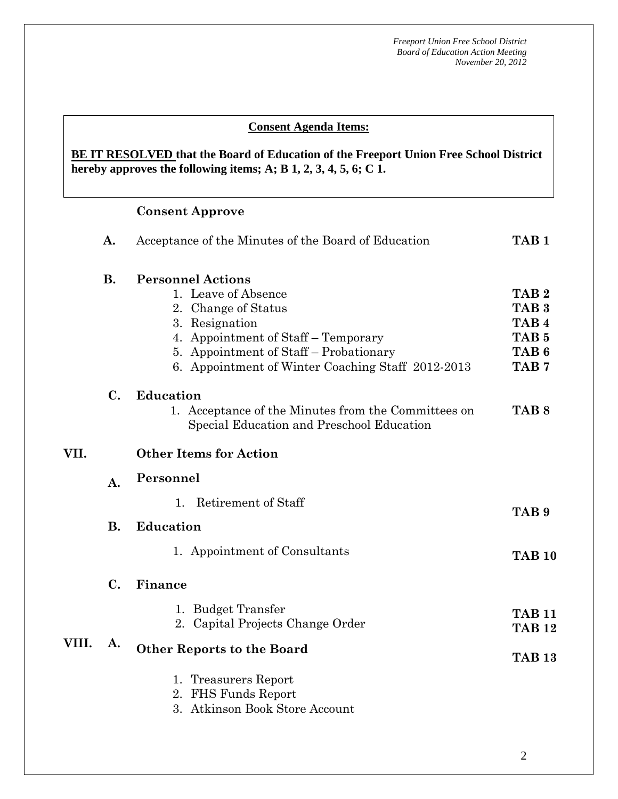#### **AA. Consent - Approve Consent Agenda Items:**

### hereby approves the following items; A; B  $1, 2, 3, 4, 5, 6$ ; C  $1$ . **BE IT RESOLVED that the Board of Education of the Freeport Union Free School District**

### **Consent Approve**

|       | A.        | TAB <sub>1</sub>                                                                                                                                                                                                               |                                                                                                                      |
|-------|-----------|--------------------------------------------------------------------------------------------------------------------------------------------------------------------------------------------------------------------------------|----------------------------------------------------------------------------------------------------------------------|
|       | <b>B.</b> | <b>Personnel Actions</b><br>1. Leave of Absence<br>2. Change of Status<br>3. Resignation<br>4. Appointment of Staff – Temporary<br>5. Appointment of Staff – Probationary<br>6. Appointment of Winter Coaching Staff 2012-2013 | TAB <sub>2</sub><br>TAB <sub>3</sub><br>TAB <sub>4</sub><br>TAB <sub>5</sub><br>TAB <sub>6</sub><br>TAB <sub>7</sub> |
|       | C.        | Education<br>1. Acceptance of the Minutes from the Committees on<br>Special Education and Preschool Education                                                                                                                  | TAB <sub>8</sub>                                                                                                     |
| VII.  |           | <b>Other Items for Action</b>                                                                                                                                                                                                  |                                                                                                                      |
|       | A.        | Personnel                                                                                                                                                                                                                      |                                                                                                                      |
|       | <b>B.</b> | Retirement of Staff<br>1 <sub>1</sub><br><b>Education</b>                                                                                                                                                                      | TAB <sub>9</sub>                                                                                                     |
|       |           | 1. Appointment of Consultants                                                                                                                                                                                                  | <b>TAB 10</b>                                                                                                        |
|       | C.        | Finance                                                                                                                                                                                                                        |                                                                                                                      |
|       |           | 1. Budget Transfer<br>2. Capital Projects Change Order                                                                                                                                                                         | <b>TAB 11</b><br><b>TAB 12</b>                                                                                       |
| VIII. | A.        | <b>Other Reports to the Board</b><br>1. Treasurers Report<br>2. FHS Funds Report<br>3. Atkinson Book Store Account                                                                                                             | <b>TAB 13</b>                                                                                                        |
|       |           |                                                                                                                                                                                                                                |                                                                                                                      |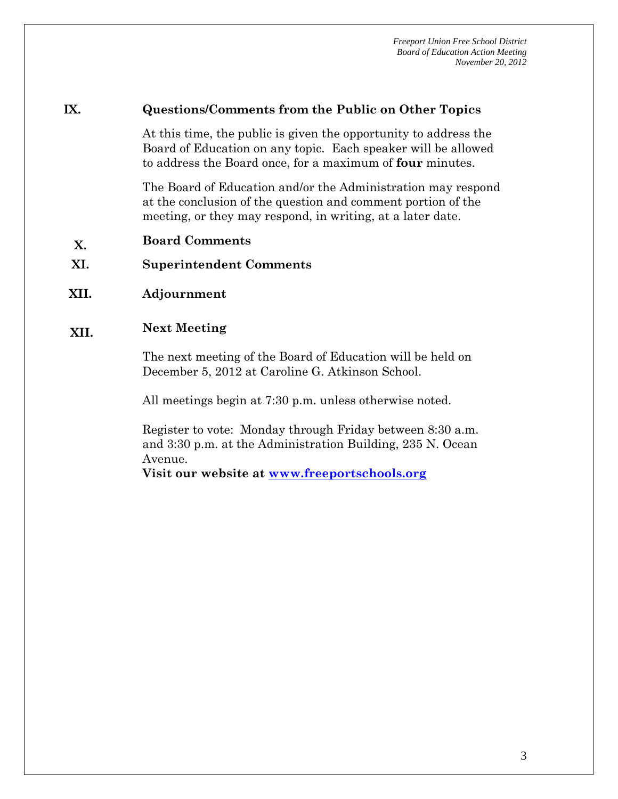#### **IX. Questions/Comments from the Public on Other Topics**

At this time, the public is given the opportunity to address the Board of Education on any topic. Each speaker will be allowed to address the Board once, for a maximum of **four** minutes.

The Board of Education and/or the Administration may respond at the conclusion of the question and comment portion of the meeting, or they may respond, in writing, at a later date.

- **X. Board Comments**
- **XI. Superintendent Comments**
- **XII. Adjournment**

# **XII. Next Meeting**

The next meeting of the Board of Education will be held on December 5, 2012 at Caroline G. Atkinson School.

All meetings begin at 7:30 p.m. unless otherwise noted.

Register to vote: Monday through Friday between 8:30 a.m. and 3:30 p.m. at the Administration Building, 235 N. Ocean Avenue.

**Visit our website at www.freeportschools.org**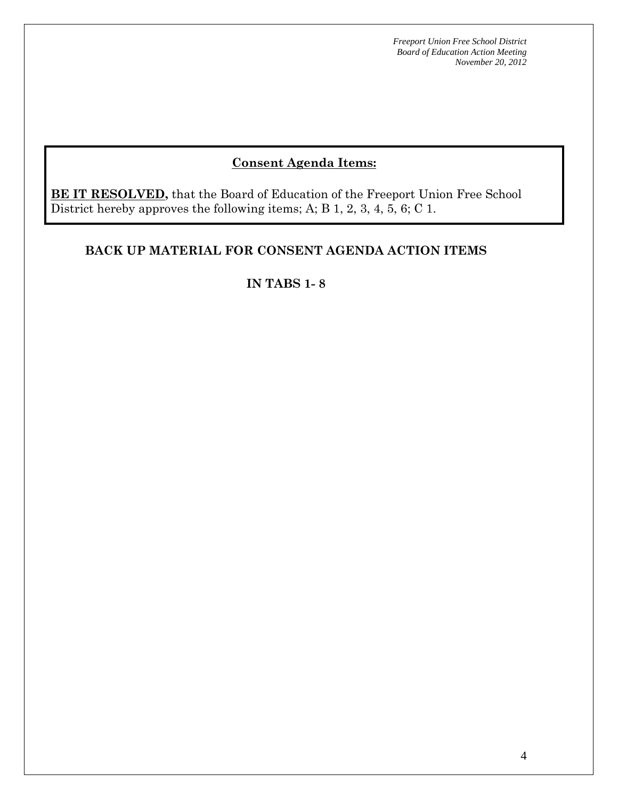# **Consent Agenda Items:**

**BE IT RESOLVED,** that the Board of Education of the Freeport Union Free School District hereby approves the following items; A; B 1, 2, 3, 4, 5, 6; C 1.

# **BACK UP MATERIAL FOR CONSENT AGENDA ACTION ITEMS**

### **IN TABS 1- 8**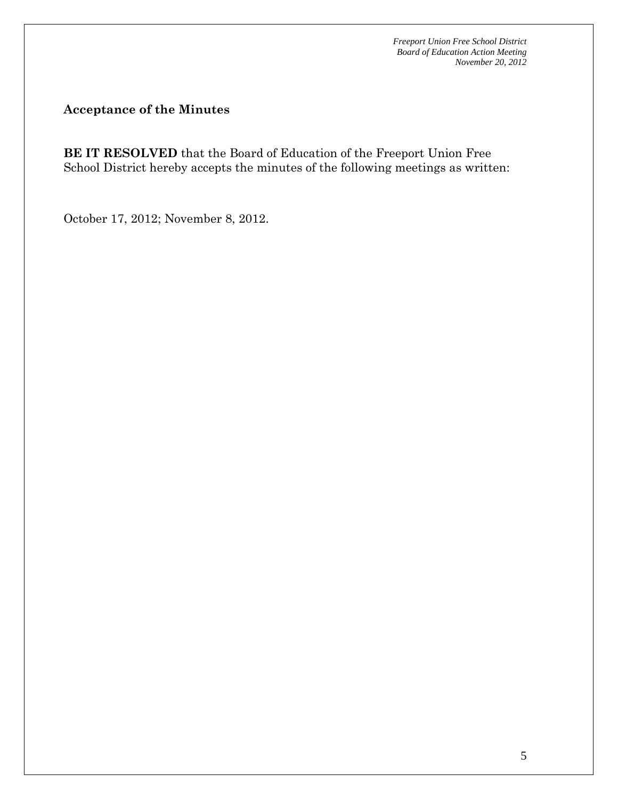**Acceptance of the Minutes** 

**BE IT RESOLVED** that the Board of Education of the Freeport Union Free School District hereby accepts the minutes of the following meetings as written:

October 17, 2012; November 8, 2012.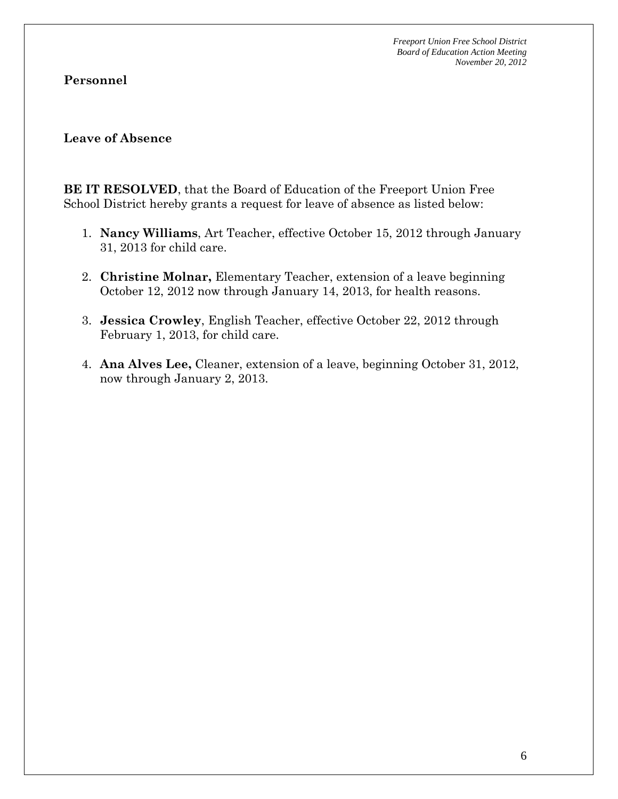**Personnel** 

#### **Leave of Absence**

**BE IT RESOLVED**, that the Board of Education of the Freeport Union Free School District hereby grants a request for leave of absence as listed below:

- 1. **Nancy Williams**, Art Teacher, effective October 15, 2012 through January 31, 2013 for child care.
- 2. **Christine Molnar,** Elementary Teacher, extension of a leave beginning October 12, 2012 now through January 14, 2013, for health reasons.
- 3. **Jessica Crowley**, English Teacher, effective October 22, 2012 through February 1, 2013, for child care.
- 4. **Ana Alves Lee,** Cleaner, extension of a leave, beginning October 31, 2012, now through January 2, 2013.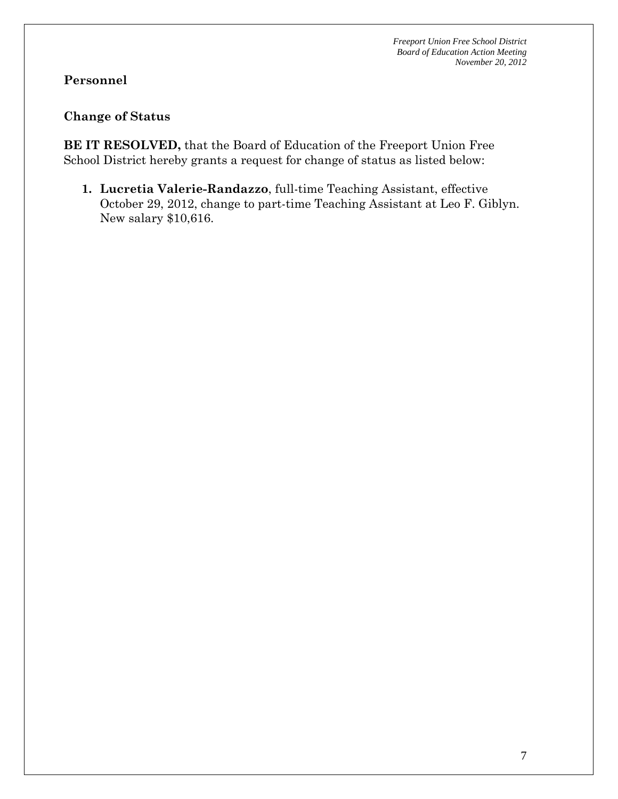# **Personnel**

# **Change of Status**

**BE IT RESOLVED,** that the Board of Education of the Freeport Union Free School District hereby grants a request for change of status as listed below:

**1. Lucretia Valerie-Randazzo**, full-time Teaching Assistant, effective October 29, 2012, change to part-time Teaching Assistant at Leo F. Giblyn. New salary \$10,616.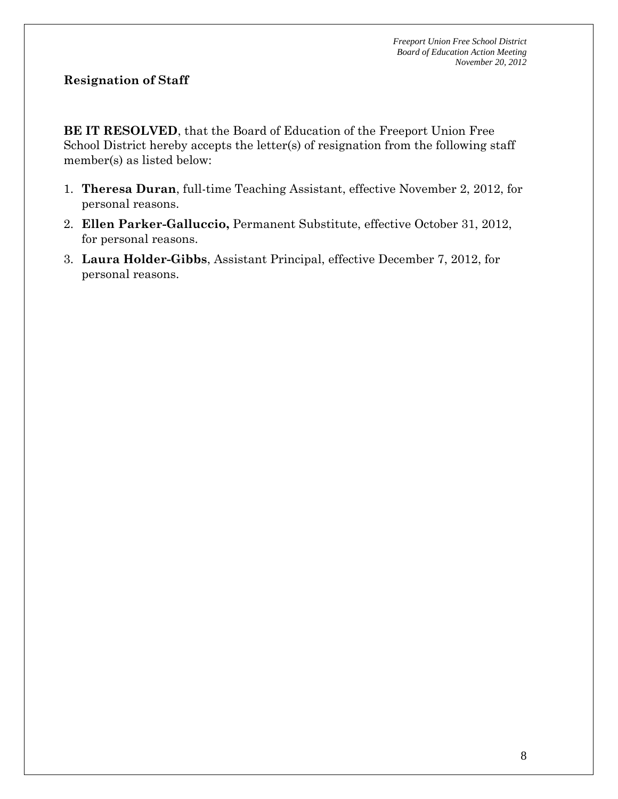# **Resignation of Staff**

**BE IT RESOLVED**, that the Board of Education of the Freeport Union Free School District hereby accepts the letter(s) of resignation from the following staff member(s) as listed below:

- 1. **Theresa Duran**, full-time Teaching Assistant, effective November 2, 2012, for personal reasons.
- 2. **Ellen Parker-Galluccio,** Permanent Substitute, effective October 31, 2012, for personal reasons.
- 3. **Laura Holder-Gibbs**, Assistant Principal, effective December 7, 2012, for personal reasons.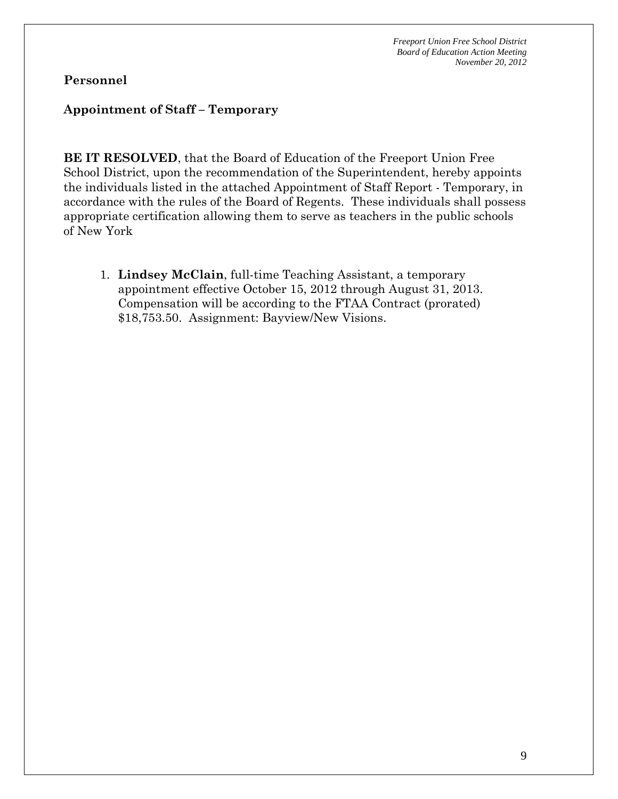### **Personnel**

#### **Appointment of Staff – Temporary**

**BE IT RESOLVED**, that the Board of Education of the Freeport Union Free School District, upon the recommendation of the Superintendent, hereby appoints the individuals listed in the attached Appointment of Staff Report - Temporary, in accordance with the rules of the Board of Regents. These individuals shall possess appropriate certification allowing them to serve as teachers in the public schools of New York

1. **Lindsey McClain**, full-time Teaching Assistant, a temporary appointment effective October 15, 2012 through August 31, 2013. Compensation will be according to the FTAA Contract (prorated) \$18,753.50. Assignment: Bayview/New Visions.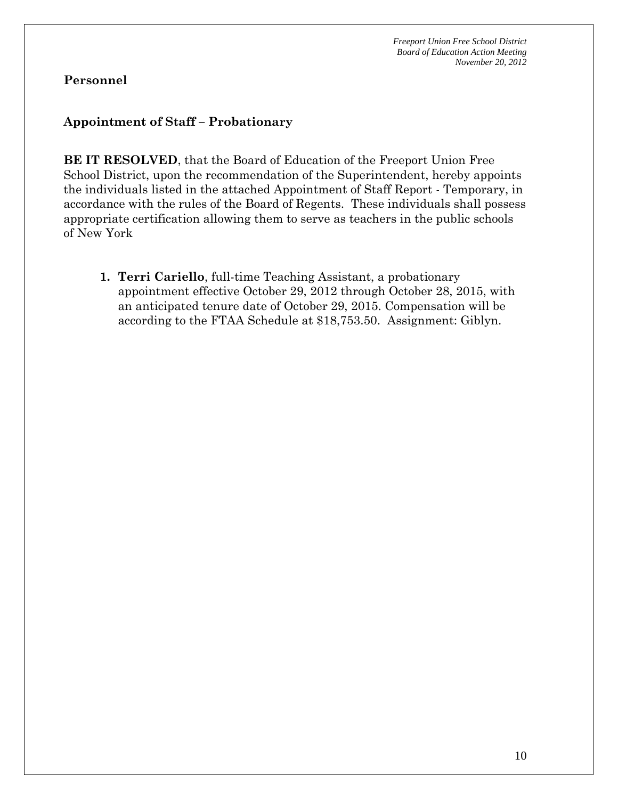# **Personnel**

# **Appointment of Staff – Probationary**

**BE IT RESOLVED**, that the Board of Education of the Freeport Union Free School District, upon the recommendation of the Superintendent, hereby appoints the individuals listed in the attached Appointment of Staff Report - Temporary, in accordance with the rules of the Board of Regents. These individuals shall possess appropriate certification allowing them to serve as teachers in the public schools of New York

**1. Terri Cariello**, full-time Teaching Assistant, a probationary appointment effective October 29, 2012 through October 28, 2015, with an anticipated tenure date of October 29, 2015. Compensation will be according to the FTAA Schedule at \$18,753.50. Assignment: Giblyn.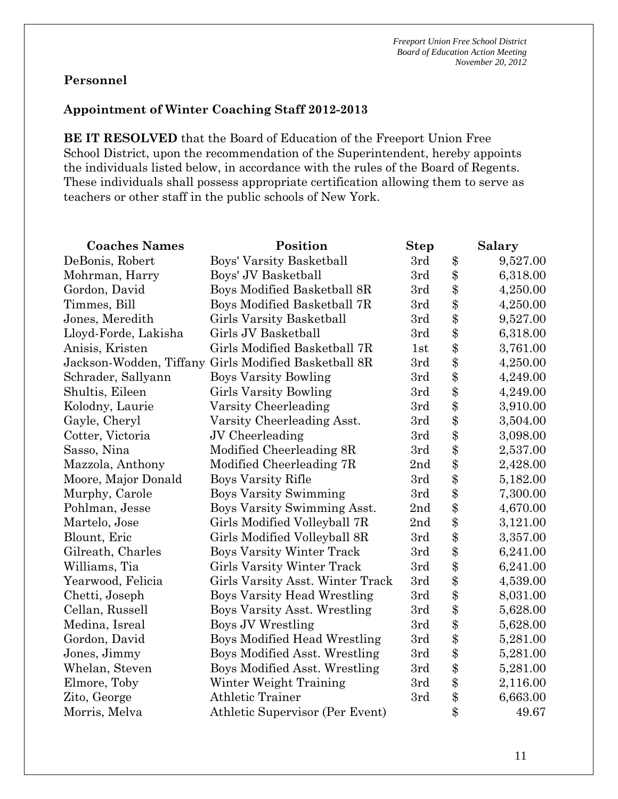# **Personnel**

## **Appointment of Winter Coaching Staff 2012-2013**

**BE IT RESOLVED** that the Board of Education of the Freeport Union Free School District, upon the recommendation of the Superintendent, hereby appoints the individuals listed below, in accordance with the rules of the Board of Regents. These individuals shall possess appropriate certification allowing them to serve as teachers or other staff in the public schools of New York.

| <b>Coaches Names</b> | Position                                             | <b>Step</b> |       | <b>Salary</b> |
|----------------------|------------------------------------------------------|-------------|-------|---------------|
| DeBonis, Robert      | Boys' Varsity Basketball                             | 3rd         | \$    | 9,527.00      |
| Mohrman, Harry       | Boys' JV Basketball                                  | 3rd         | \$    | 6,318.00      |
| Gordon, David        | Boys Modified Basketball 8R                          | 3rd         | \$    | 4,250.00      |
| Timmes, Bill         | Boys Modified Basketball 7R                          | 3rd         | \$    | 4,250.00      |
| Jones, Meredith      | Girls Varsity Basketball                             | 3rd         | \$    | 9,527.00      |
| Lloyd-Forde, Lakisha | Girls JV Basketball                                  | 3rd         | \$    | 6,318.00      |
| Anisis, Kristen      | Girls Modified Basketball 7R                         | 1st         | \$    | 3,761.00      |
|                      | Jackson-Wodden, Tiffany Girls Modified Basketball 8R | 3rd         | \$    | 4,250.00      |
| Schrader, Sallyann   | <b>Boys Varsity Bowling</b>                          | 3rd         | \$    | 4,249.00      |
| Shultis, Eileen      | Girls Varsity Bowling                                | 3rd         | \$    | 4,249.00      |
| Kolodny, Laurie      | Varsity Cheerleading                                 | 3rd         | \$    | 3,910.00      |
| Gayle, Cheryl        | Varsity Cheerleading Asst.                           | 3rd         | \$    | 3,504.00      |
| Cotter, Victoria     | JV Cheerleading                                      | 3rd         | \$    | 3,098.00      |
| Sasso, Nina          | Modified Cheerleading 8R                             | 3rd         | \$    | 2,537.00      |
| Mazzola, Anthony     | Modified Cheerleading 7R                             | 2nd         | \$    | 2,428.00      |
| Moore, Major Donald  | Boys Varsity Rifle                                   | 3rd         | \$    | 5,182.00      |
| Murphy, Carole       | <b>Boys Varsity Swimming</b>                         | 3rd         | \$    | 7,300.00      |
| Pohlman, Jesse       | Boys Varsity Swimming Asst.                          | 2nd         | \$    | 4,670.00      |
| Martelo, Jose        | Girls Modified Volleyball 7R                         | 2nd         | \$    | 3,121.00      |
| Blount, Eric         | Girls Modified Volleyball 8R                         | 3rd         | \$    | 3,357.00      |
| Gilreath, Charles    | <b>Boys Varsity Winter Track</b>                     | 3rd         | \$    | 6,241.00      |
| Williams, Tia        | Girls Varsity Winter Track                           | 3rd         | \$    | 6,241.00      |
| Yearwood, Felicia    | Girls Varsity Asst. Winter Track                     | 3rd         | \$    | 4,539.00      |
| Chetti, Joseph       | <b>Boys Varsity Head Wrestling</b>                   | 3rd         | \$    | 8,031.00      |
| Cellan, Russell      | Boys Varsity Asst. Wrestling                         | 3rd         | \$    | 5,628.00      |
| Medina, Isreal       | Boys JV Wrestling                                    | 3rd         | \$    | 5,628.00      |
| Gordon, David        | <b>Boys Modified Head Wrestling</b>                  | 3rd         | \$    | 5,281.00      |
| Jones, Jimmy         | Boys Modified Asst. Wrestling                        | 3rd         | \$    | 5,281.00      |
| Whelan, Steven       | Boys Modified Asst. Wrestling                        | 3rd         | \$    | 5,281.00      |
| Elmore, Toby         | Winter Weight Training                               | 3rd         | \$    | 2,116.00      |
| Zito, George         | <b>Athletic Trainer</b>                              | 3rd         | \$    | 6,663.00      |
| Morris, Melva        | Athletic Supervisor (Per Event)                      |             | $\$\$ | 49.67         |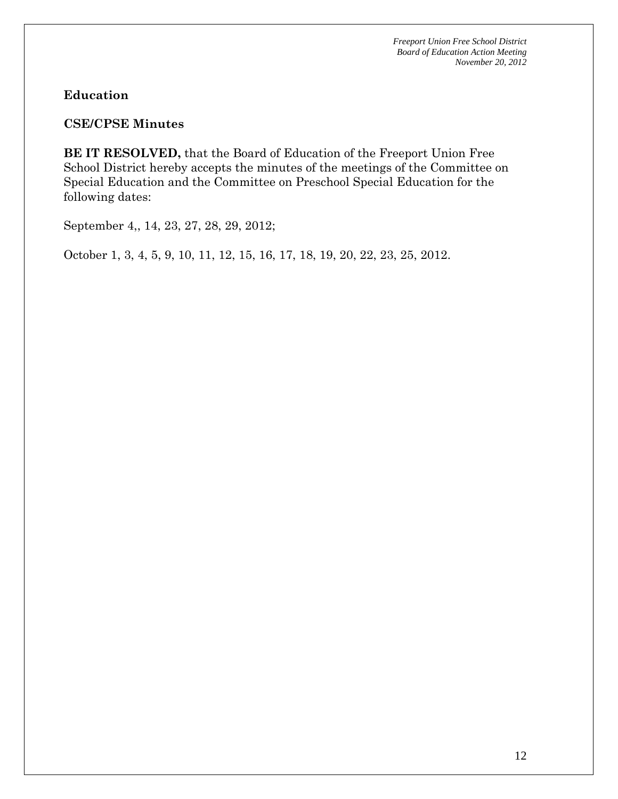## **Education**

#### **CSE/CPSE Minutes**

**BE IT RESOLVED,** that the Board of Education of the Freeport Union Free School District hereby accepts the minutes of the meetings of the Committee on Special Education and the Committee on Preschool Special Education for the following dates:

September 4,, 14, 23, 27, 28, 29, 2012;

October 1, 3, 4, 5, 9, 10, 11, 12, 15, 16, 17, 18, 19, 20, 22, 23, 25, 2012.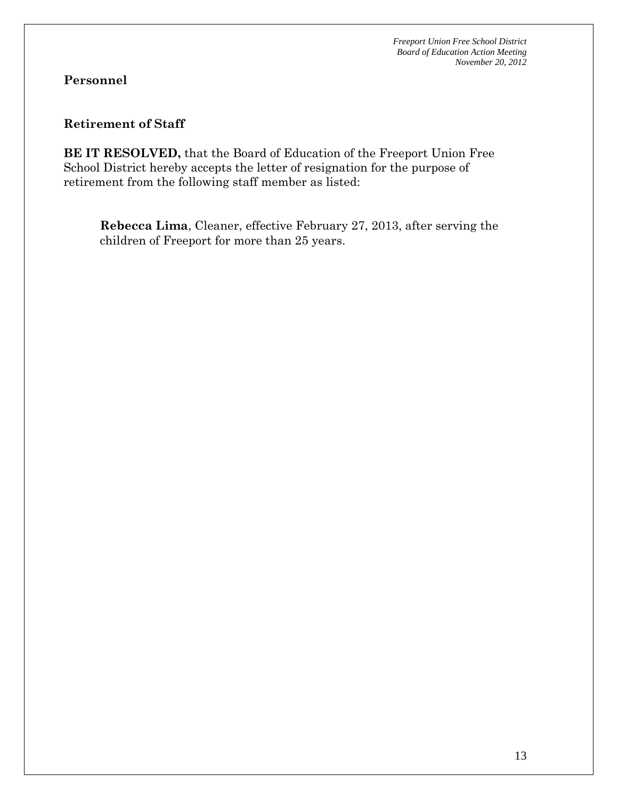# **Personnel**

### **Retirement of Staff**

**BE IT RESOLVED,** that the Board of Education of the Freeport Union Free School District hereby accepts the letter of resignation for the purpose of retirement from the following staff member as listed:

**Rebecca Lima**, Cleaner, effective February 27, 2013, after serving the children of Freeport for more than 25 years.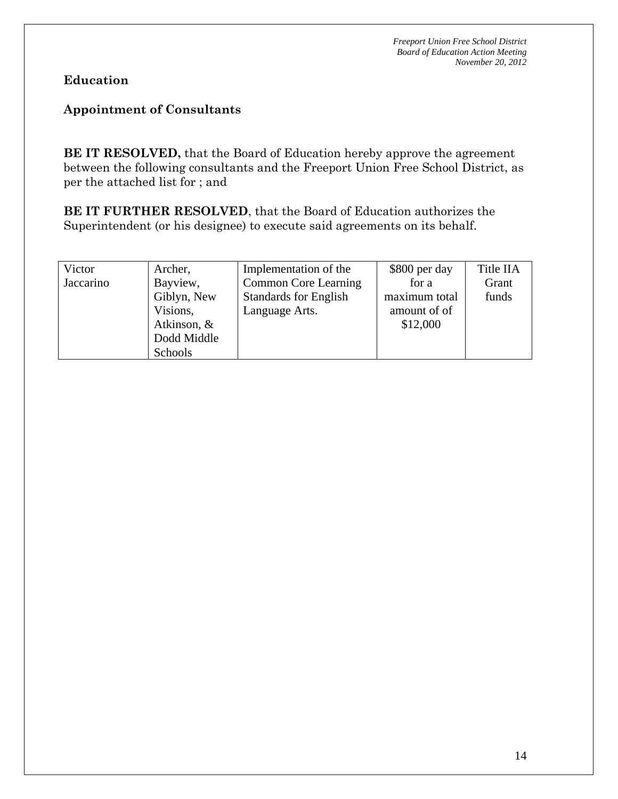# **Education**

# **Appointment of Consultants**

**BE IT RESOLVED,** that the Board of Education hereby approve the agreement between the following consultants and the Freeport Union Free School District, as per the attached list for ; and

**BE IT FURTHER RESOLVED**, that the Board of Education authorizes the Superintendent (or his designee) to execute said agreements on its behalf.

| Victor    | Archer,     | Implementation of the        | \$800 per day | Title IIA |
|-----------|-------------|------------------------------|---------------|-----------|
| Jaccarino | Bayview,    | <b>Common Core Learning</b>  | for a         | Grant     |
|           | Giblyn, New | <b>Standards for English</b> | maximum total | funds     |
|           | Visions,    | Language Arts.               | amount of of  |           |
|           | Atkinson, & |                              | \$12,000      |           |
|           | Dodd Middle |                              |               |           |
|           | Schools     |                              |               |           |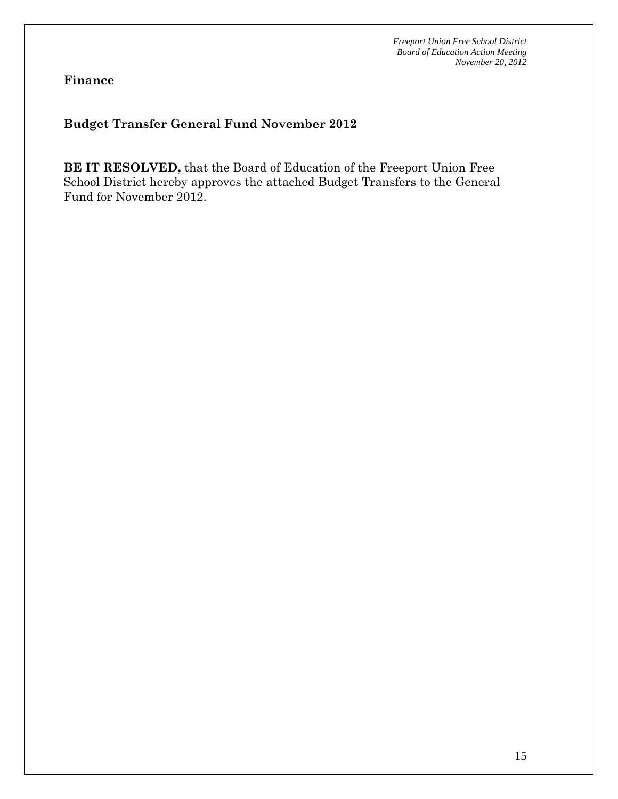**Finance** 

# **Budget Transfer General Fund November 2012**

**BE IT RESOLVED,** that the Board of Education of the Freeport Union Free School District hereby approves the attached Budget Transfers to the General Fund for November 2012.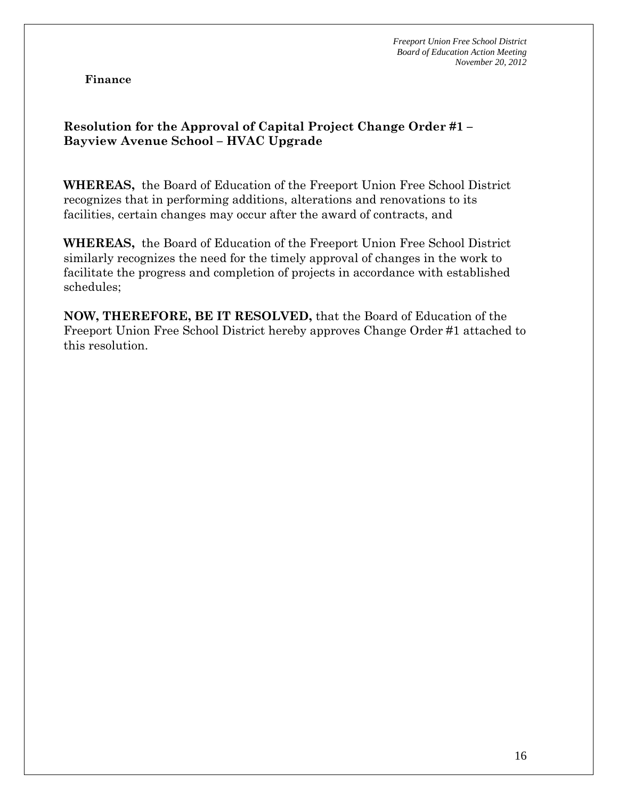**Finance** 

# **Resolution for the Approval of Capital Project Change Order #1 – Bayview Avenue School – HVAC Upgrade**

**WHEREAS,** the Board of Education of the Freeport Union Free School District recognizes that in performing additions, alterations and renovations to its facilities, certain changes may occur after the award of contracts, and

**WHEREAS,** the Board of Education of the Freeport Union Free School District similarly recognizes the need for the timely approval of changes in the work to facilitate the progress and completion of projects in accordance with established schedules;

**NOW, THEREFORE, BE IT RESOLVED,** that the Board of Education of the Freeport Union Free School District hereby approves Change Order #1 attached to this resolution.